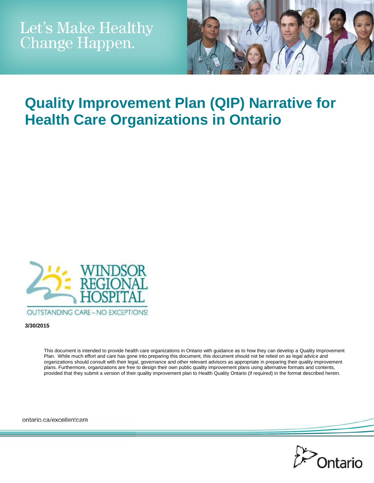

# **Quality Improvement Plan (QIP) Narrative for Health Care Organizations in Ontario**



**3/30/2015**

This document is intended to provide health care organizations in Ontario with guidance as to how they can develop a Quality Improvement Plan. While much effort and care has gone into preparing this document, this document should not be relied on as legal advice and organizations should consult with their legal, governance and other relevant advisors as appropriate in preparing their quality improvement plans. Furthermore, organizations are free to design their own public quality improvement plans using alternative formats and contents, provided that they submit a version of their quality improvement plan to Health Quality Ontario (if required) in the format described herein.

ontario.ca/excellentcare

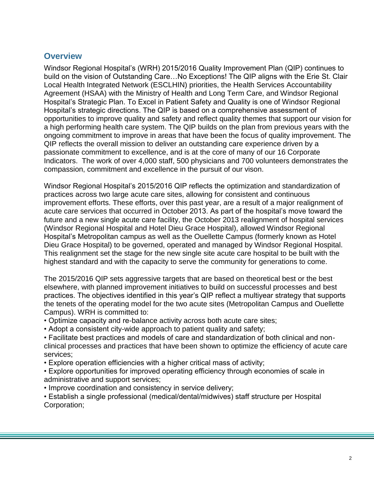#### **Overview**

Windsor Regional Hospital"s (WRH) 2015/2016 Quality Improvement Plan (QIP) continues to build on the vision of Outstanding Care…No Exceptions! The QIP aligns with the Erie St. Clair Local Health Integrated Network (ESCLHIN) priorities, the Health Services Accountability Agreement (HSAA) with the Ministry of Health and Long Term Care, and Windsor Regional Hospital"s Strategic Plan. To Excel in Patient Safety and Quality is one of Windsor Regional Hospital"s strategic directions. The QIP is based on a comprehensive assessment of opportunities to improve quality and safety and reflect quality themes that support our vision for a high performing health care system. The QIP builds on the plan from previous years with the ongoing commitment to improve in areas that have been the focus of quality improvement. The QIP reflects the overall mission to deliver an outstanding care experience driven by a passionate commitment to excellence, and is at the core of many of our 16 Corporate Indicators. The work of over 4,000 staff, 500 physicians and 700 volunteers demonstrates the compassion, commitment and excellence in the pursuit of our vison.

Windsor Regional Hospital"s 2015/2016 QIP reflects the optimization and standardization of practices across two large acute care sites, allowing for consistent and continuous improvement efforts. These efforts, over this past year, are a result of a major realignment of acute care services that occurred in October 2013. As part of the hospital"s move toward the future and a new single acute care facility, the October 2013 realignment of hospital services (Windsor Regional Hospital and Hotel Dieu Grace Hospital), allowed Windsor Regional Hospital"s Metropolitan campus as well as the Ouellette Campus (formerly known as Hotel Dieu Grace Hospital) to be governed, operated and managed by Windsor Regional Hospital. This realignment set the stage for the new single site acute care hospital to be built with the highest standard and with the capacity to serve the community for generations to come.

The 2015/2016 QIP sets aggressive targets that are based on theoretical best or the best elsewhere, with planned improvement initiatives to build on successful processes and best practices. The objectives identified in this year"s QIP reflect a multiyear strategy that supports the tenets of the operating model for the two acute sites (Metropolitan Campus and Ouellette Campus). WRH is committed to:

- Optimize capacity and re-balance activity across both acute care sites;
- Adopt a consistent city-wide approach to patient quality and safety;

• Facilitate best practices and models of care and standardization of both clinical and nonclinical processes and practices that have been shown to optimize the efficiency of acute care services;

- Explore operation efficiencies with a higher critical mass of activity;
- Explore opportunities for improved operating efficiency through economies of scale in administrative and support services;
- Improve coordination and consistency in service delivery;

• Establish a single professional (medical/dental/midwives) staff structure per Hospital Corporation;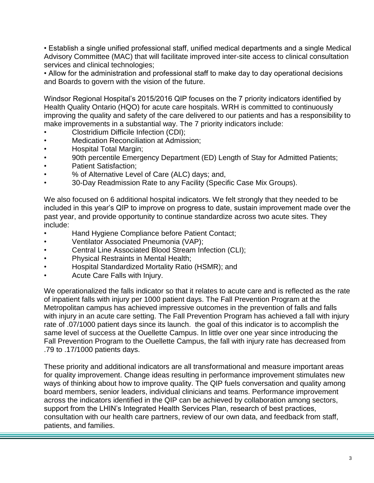• Establish a single unified professional staff, unified medical departments and a single Medical Advisory Committee (MAC) that will facilitate improved inter-site access to clinical consultation services and clinical technologies;

• Allow for the administration and professional staff to make day to day operational decisions and Boards to govern with the vision of the future.

Windsor Regional Hospital"s 2015/2016 QIP focuses on the 7 priority indicators identified by Health Quality Ontario (HQO) for acute care hospitals. WRH is committed to continuously improving the quality and safety of the care delivered to our patients and has a responsibility to make improvements in a substantial way. The 7 priority indicators include:

- Clostridium Difficile Infection (CDI);
- Medication Reconciliation at Admission;
- Hospital Total Margin;
- 90th percentile Emergency Department (ED) Length of Stay for Admitted Patients;
- Patient Satisfaction:
- % of Alternative Level of Care (ALC) days; and,
- 30-Day Readmission Rate to any Facility (Specific Case Mix Groups).

We also focused on 6 additional hospital indicators. We felt strongly that they needed to be included in this year"s QIP to improve on progress to date, sustain improvement made over the past year, and provide opportunity to continue standardize across two acute sites. They include:

- Hand Hygiene Compliance before Patient Contact;
- Ventilator Associated Pneumonia (VAP);
- Central Line Associated Blood Stream Infection (CLI);
- Physical Restraints in Mental Health;
- Hospital Standardized Mortality Ratio (HSMR); and
- Acute Care Falls with Injury.

We operationalized the falls indicator so that it relates to acute care and is reflected as the rate of inpatient falls with injury per 1000 patient days. The Fall Prevention Program at the Metropolitan campus has achieved impressive outcomes in the prevention of falls and falls with injury in an acute care setting. The Fall Prevention Program has achieved a fall with injury rate of .07/1000 patient days since its launch. the goal of this indicator is to accomplish the same level of success at the Ouellette Campus. In little over one year since introducing the Fall Prevention Program to the Ouellette Campus, the fall with injury rate has decreased from .79 to .17/1000 patients days.

These priority and additional indicators are all transformational and measure important areas for quality improvement. Change ideas resulting in performance improvement stimulates new ways of thinking about how to improve quality. The QIP fuels conversation and quality among board members, senior leaders, individual clinicians and teams. Performance improvement across the indicators identified in the QIP can be achieved by collaboration among sectors, support from the LHIN's Integrated Health Services Plan, research of best practices, consultation with our health care partners, review of our own data, and feedback from staff, patients, and families.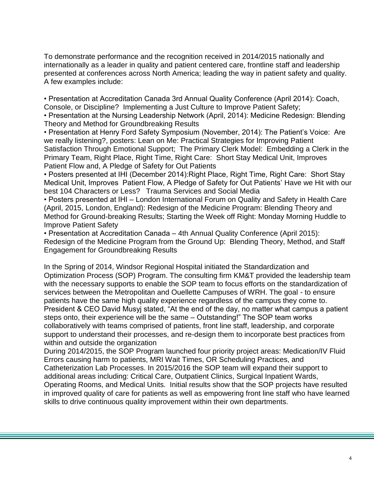To demonstrate performance and the recognition received in 2014/2015 nationally and internationally as a leader in quality and patient centered care, frontline staff and leadership presented at conferences across North America; leading the way in patient safety and quality. A few examples include:

• Presentation at Accreditation Canada 3rd Annual Quality Conference (April 2014): Coach, Console, or Discipline? Implementing a Just Culture to Improve Patient Safety;

• Presentation at the Nursing Leadership Network (April, 2014): Medicine Redesign: Blending Theory and Method for Groundbreaking Results

• Presentation at Henry Ford Safety Symposium (November, 2014): The Patient"s Voice: Are we really listening?, posters: Lean on Me: Practical Strategies for Improving Patient Satisfaction Through Emotional Support; The Primary Clerk Model: Embedding a Clerk in the Primary Team, Right Place, Right Time, Right Care: Short Stay Medical Unit, Improves Patient Flow and, A Pledge of Safety for Out Patients

• Posters presented at IHI (December 2014):Right Place, Right Time, Right Care: Short Stay Medical Unit, Improves Patient Flow, A Pledge of Safety for Out Patients" Have we Hit with our best 104 Characters or Less? Trauma Services and Social Media

• Posters presented at IHI – London International Forum on Quality and Safety in Health Care (April, 2015, London, England): Redesign of the Medicine Program: Blending Theory and Method for Ground-breaking Results; Starting the Week off Right: Monday Morning Huddle to Improve Patient Safety

• Presentation at Accreditation Canada – 4th Annual Quality Conference (April 2015): Redesign of the Medicine Program from the Ground Up: Blending Theory, Method, and Staff Engagement for Groundbreaking Results

In the Spring of 2014, Windsor Regional Hospital initiated the Standardization and Optimization Process (SOP) Program. The consulting firm KM&T provided the leadership team with the necessary supports to enable the SOP team to focus efforts on the standardization of services between the Metropolitan and Ouellette Campuses of WRH. The goal - to ensure patients have the same high quality experience regardless of the campus they come to. President & CEO David Musyj stated, "At the end of the day, no matter what campus a patient steps onto, their experience will be the same – Outstanding!" The SOP team works collaboratively with teams comprised of patients, front line staff, leadership, and corporate support to understand their processes, and re-design them to incorporate best practices from within and outside the organization

During 2014/2015, the SOP Program launched four priority project areas: Medication/IV Fluid Errors causing harm to patients, MRI Wait Times, OR Scheduling Practices, and Catheterization Lab Processes. In 2015/2016 the SOP team will expand their support to additional areas including: Critical Care, Outpatient Clinics, Surgical Inpatient Wards, Operating Rooms, and Medical Units. Initial results show that the SOP projects have resulted in improved quality of care for patients as well as empowering front line staff who have learned skills to drive continuous quality improvement within their own departments.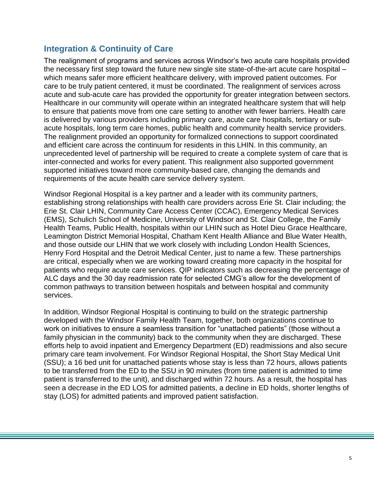## **Integration & Continuity of Care**

The realignment of programs and services across Windsor"s two acute care hospitals provided the necessary first step toward the future new single site state-of-the-art acute care hospital – which means safer more efficient healthcare delivery, with improved patient outcomes. For care to be truly patient centered, it must be coordinated. The realignment of services across acute and sub-acute care has provided the opportunity for greater integration between sectors. Healthcare in our community will operate within an integrated healthcare system that will help to ensure that patients move from one care setting to another with fewer barriers. Health care is delivered by various providers including primary care, acute care hospitals, tertiary or subacute hospitals, long term care homes, public health and community health service providers. The realignment provided an opportunity for formalized connections to support coordinated and efficient care across the continuum for residents in this LHIN. In this community, an unprecedented level of partnership will be required to create a complete system of care that is inter-connected and works for every patient. This realignment also supported government supported initiatives toward more community-based care, changing the demands and requirements of the acute health care service delivery system.

Windsor Regional Hospital is a key partner and a leader with its community partners, establishing strong relationships with health care providers across Erie St. Clair including; the Erie St. Clair LHIN, Community Care Access Center (CCAC), Emergency Medical Services (EMS), Schulich School of Medicine, University of Windsor and St. Clair College, the Family Health Teams, Public Health, hospitals within our LHIN such as Hotel Dieu Grace Healthcare, Leamington District Memorial Hospital, Chatham Kent Health Alliance and Blue Water Health, and those outside our LHIN that we work closely with including London Health Sciences, Henry Ford Hospital and the Detroit Medical Center, just to name a few. These partnerships are critical, especially when we are working toward creating more capacity in the hospital for patients who require acute care services. QIP indicators such as decreasing the percentage of ALC days and the 30 day readmission rate for selected CMG"s allow for the development of common pathways to transition between hospitals and between hospital and community services.

In addition, Windsor Regional Hospital is continuing to build on the strategic partnership developed with the Windsor Family Health Team, together, both organizations continue to work on initiatives to ensure a seamless transition for "unattached patients" (those without a family physician in the community) back to the community when they are discharged. These efforts help to avoid inpatient and Emergency Department (ED) readmissions and also secure primary care team involvement. For Windsor Regional Hospital, the Short Stay Medical Unit (SSU); a 16 bed unit for unattached patients whose stay is less than 72 hours, allows patients to be transferred from the ED to the SSU in 90 minutes (from time patient is admitted to time patient is transferred to the unit), and discharged within 72 hours. As a result, the hospital has seen a decrease in the ED LOS for admitted patients, a decline in ED holds, shorter lengths of stay (LOS) for admitted patients and improved patient satisfaction.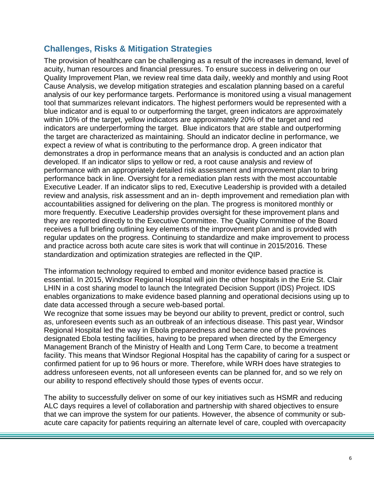### **Challenges, Risks & Mitigation Strategies**

The provision of healthcare can be challenging as a result of the increases in demand, level of acuity, human resources and financial pressures. To ensure success in delivering on our Quality Improvement Plan, we review real time data daily, weekly and monthly and using Root Cause Analysis, we develop mitigation strategies and escalation planning based on a careful analysis of our key performance targets. Performance is monitored using a visual management tool that summarizes relevant indicators. The highest performers would be represented with a blue indicator and is equal to or outperforming the target, green indicators are approximately within 10% of the target, yellow indicators are approximately 20% of the target and red indicators are underperforming the target. Blue indicators that are stable and outperforming the target are characterized as maintaining. Should an indicator decline in performance, we expect a review of what is contributing to the performance drop. A green indicator that demonstrates a drop in performance means that an analysis is conducted and an action plan developed. If an indicator slips to yellow or red, a root cause analysis and review of performance with an appropriately detailed risk assessment and improvement plan to bring performance back in line. Oversight for a remediation plan rests with the most accountable Executive Leader. If an indicator slips to red, Executive Leadership is provided with a detailed review and analysis, risk assessment and an in- depth improvement and remediation plan with accountabilities assigned for delivering on the plan. The progress is monitored monthly or more frequently. Executive Leadership provides oversight for these improvement plans and they are reported directly to the Executive Committee. The Quality Committee of the Board receives a full briefing outlining key elements of the improvement plan and is provided with regular updates on the progress. Continuing to standardize and make improvement to process and practice across both acute care sites is work that will continue in 2015/2016. These standardization and optimization strategies are reflected in the QIP.

The information technology required to embed and monitor evidence based practice is essential. In 2015, Windsor Regional Hospital will join the other hospitals in the Erie St. Clair LHIN in a cost sharing model to launch the Integrated Decision Support (IDS) Project. IDS enables organizations to make evidence based planning and operational decisions using up to date data accessed through a secure web-based portal.

We recognize that some issues may be beyond our ability to prevent, predict or control, such as, unforeseen events such as an outbreak of an infectious disease. This past year, Windsor Regional Hospital led the way in Ebola preparedness and became one of the provinces designated Ebola testing facilities, having to be prepared when directed by the Emergency Management Branch of the Ministry of Health and Long Term Care, to become a treatment facility. This means that Windsor Regional Hospital has the capability of caring for a suspect or confirmed patient for up to 96 hours or more. Therefore, while WRH does have strategies to address unforeseen events, not all unforeseen events can be planned for, and so we rely on our ability to respond effectively should those types of events occur.

The ability to successfully deliver on some of our key initiatives such as HSMR and reducing ALC days requires a level of collaboration and partnership with shared objectives to ensure that we can improve the system for our patients. However, the absence of community or subacute care capacity for patients requiring an alternate level of care, coupled with overcapacity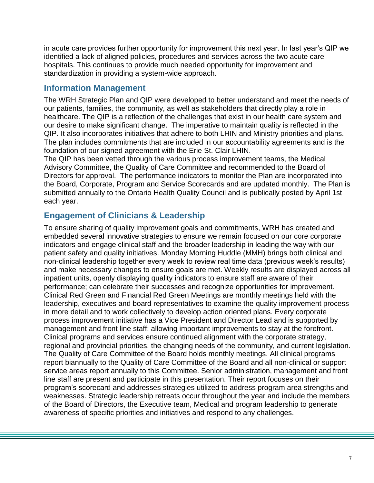in acute care provides further opportunity for improvement this next year. In last year"s QIP we identified a lack of aligned policies, procedures and services across the two acute care hospitals. This continues to provide much needed opportunity for improvement and standardization in providing a system-wide approach.

#### **Information Management**

The WRH Strategic Plan and QIP were developed to better understand and meet the needs of our patients, families, the community, as well as stakeholders that directly play a role in healthcare. The QIP is a reflection of the challenges that exist in our health care system and our desire to make significant change. The imperative to maintain quality is reflected in the QIP. It also incorporates initiatives that adhere to both LHIN and Ministry priorities and plans. The plan includes commitments that are included in our accountability agreements and is the foundation of our signed agreement with the Erie St. Clair LHIN.

The QIP has been vetted through the various process improvement teams, the Medical Advisory Committee, the Quality of Care Committee and recommended to the Board of Directors for approval. The performance indicators to monitor the Plan are incorporated into the Board, Corporate, Program and Service Scorecards and are updated monthly. The Plan is submitted annually to the Ontario Health Quality Council and is publically posted by April 1st each year.

# **Engagement of Clinicians & Leadership**

To ensure sharing of quality improvement goals and commitments, WRH has created and embedded several innovative strategies to ensure we remain focused on our core corporate indicators and engage clinical staff and the broader leadership in leading the way with our patient safety and quality initiatives. Monday Morning Huddle (MMH) brings both clinical and non-clinical leadership together every week to review real time data (previous week"s results) and make necessary changes to ensure goals are met. Weekly results are displayed across all inpatient units, openly displaying quality indicators to ensure staff are aware of their performance; can celebrate their successes and recognize opportunities for improvement. Clinical Red Green and Financial Red Green Meetings are monthly meetings held with the leadership, executives and board representatives to examine the quality improvement process in more detail and to work collectively to develop action oriented plans. Every corporate process improvement initiative has a Vice President and Director Lead and is supported by management and front line staff; allowing important improvements to stay at the forefront. Clinical programs and services ensure continued alignment with the corporate strategy, regional and provincial priorities, the changing needs of the community, and current legislation. The Quality of Care Committee of the Board holds monthly meetings. All clinical programs report biannually to the Quality of Care Committee of the Board and all non-clinical or support service areas report annually to this Committee. Senior administration, management and front line staff are present and participate in this presentation. Their report focuses on their program"s scorecard and addresses strategies utilized to address program area strengths and weaknesses. Strategic leadership retreats occur throughout the year and include the members of the Board of Directors, the Executive team, Medical and program leadership to generate awareness of specific priorities and initiatives and respond to any challenges.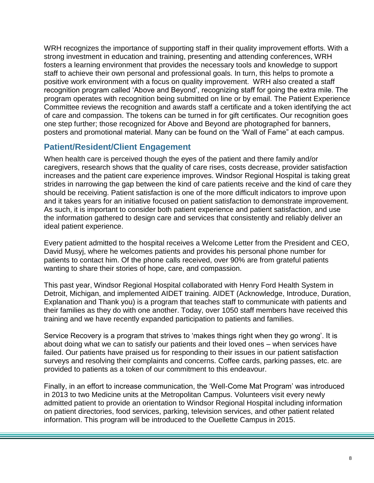WRH recognizes the importance of supporting staff in their quality improvement efforts. With a strong investment in education and training, presenting and attending conferences, WRH fosters a learning environment that provides the necessary tools and knowledge to support staff to achieve their own personal and professional goals. In turn, this helps to promote a positive work environment with a focus on quality improvement. WRH also created a staff recognition program called "Above and Beyond", recognizing staff for going the extra mile. The program operates with recognition being submitted on line or by email. The Patient Experience Committee reviews the recognition and awards staff a certificate and a token identifying the act of care and compassion. The tokens can be turned in for gift certificates. Our recognition goes one step further; those recognized for Above and Beyond are photographed for banners, posters and promotional material. Many can be found on the "Wall of Fame" at each campus.

### **Patient/Resident/Client Engagement**

When health care is perceived though the eyes of the patient and there family and/or caregivers, research shows that the quality of care rises, costs decrease, provider satisfaction increases and the patient care experience improves. Windsor Regional Hospital is taking great strides in narrowing the gap between the kind of care patients receive and the kind of care they should be receiving. Patient satisfaction is one of the more difficult indicators to improve upon and it takes years for an initiative focused on patient satisfaction to demonstrate improvement. As such, it is important to consider both patient experience and patient satisfaction, and use the information gathered to design care and services that consistently and reliably deliver an ideal patient experience.

Every patient admitted to the hospital receives a Welcome Letter from the President and CEO, David Musyj, where he welcomes patients and provides his personal phone number for patients to contact him. Of the phone calls received, over 90% are from grateful patients wanting to share their stories of hope, care, and compassion.

This past year, Windsor Regional Hospital collaborated with Henry Ford Health System in Detroit, Michigan, and implemented AIDET training. AIDET (Acknowledge, Introduce, Duration, Explanation and Thank you) is a program that teaches staff to communicate with patients and their families as they do with one another. Today, over 1050 staff members have received this training and we have recently expanded participation to patients and families.

Service Recovery is a program that strives to 'makes things right when they go wrong'. It is about doing what we can to satisfy our patients and their loved ones – when services have failed. Our patients have praised us for responding to their issues in our patient satisfaction surveys and resolving their complaints and concerns. Coffee cards, parking passes, etc. are provided to patients as a token of our commitment to this endeavour.

Finally, in an effort to increase communication, the "Well-Come Mat Program" was introduced in 2013 to two Medicine units at the Metropolitan Campus. Volunteers visit every newly admitted patient to provide an orientation to Windsor Regional Hospital including information on patient directories, food services, parking, television services, and other patient related information. This program will be introduced to the Ouellette Campus in 2015.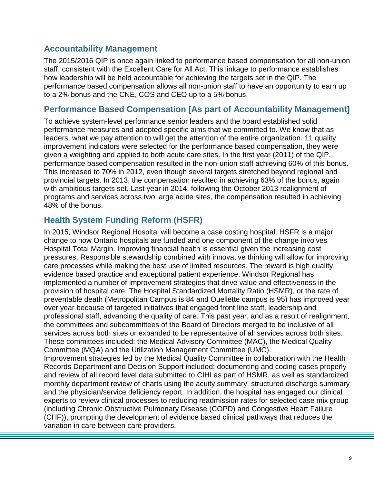#### **Accountability Management**

The 2015/2016 QIP is once again linked to performance based compensation for all non-union staff, consistent with the Excellent Care for All Act. This linkage to performance establishes how leadership will be held accountable for achieving the targets set in the QIP. The performance based compensation allows all non-union staff to have an opportunity to earn up to a 2% bonus and the CNE, COS and CEO up to a 5% bonus.

#### **Performance Based Compensation [As part of Accountability Management]**

To achieve system-level performance senior leaders and the board established solid performance measures and adopted specific aims that we committed to. We know that as leaders, what we pay attention to will get the attention of the entire organization. 11 quality improvement indicators were selected for the performance based compensation, they were given a weighting and applied to both acute care sites. In the first year (2011) of the QIP, performance based compensation resulted in the non-union staff achieving 60% of this bonus. This increased to 70% in 2012, even though several targets stretched beyond regional and provincial targets. In 2013, the compensation resulted in achieving 63% of the bonus, again with ambitious targets set. Last year in 2014, following the October 2013 realignment of programs and services across two large acute sites, the compensation resulted in achieving 48% of the bonus.

#### **Health System Funding Reform (HSFR)**

In 2015, Windsor Regional Hospital will become a case costing hospital. HSFR is a major change to how Ontario hospitals are funded and one component of the change involves Hospital Total Margin. Improving financial health is essential given the increasing cost pressures. Responsible stewardship combined with innovative thinking will allow for improving care processes while making the best use of limited resources. The reward is high quality, evidence based practice and exceptional patient experience. Windsor Regional has implemented a number of improvement strategies that drive value and effectiveness in the provision of hospital care. The Hospital Standardized Mortality Ratio (HSMR), or the rate of preventable death (Metropolitan Campus is 84 and Ouellette campus is 95) has improved year over year because of targeted initiatives that engaged front line staff, leadership and professional staff, advancing the quality of care. This past year, and as a result of realignment, the committees and subcommittees of the Board of Directors merged to be inclusive of all services across both sites or expanded to be representative of all services across both sites. These committees included: the Medical Advisory Committee (MAC), the Medical Quality Committee (MQA) and the Utilization Management Committee (UMC). Improvement strategies led by the Medical Quality Committee in collaboration with the Health Records Department and Decision Support included: documenting and coding cases properly

and review of all record level data submitted to CIHI as part of HSMR, as well as standardized monthly department review of charts using the acuity summary, structured discharge summary and the physician/service deficiency report. In addition, the hospital has engaged our clinical experts to review clinical processes to reducing readmission rates for selected case mix group (including Chronic Obstructive Pulmonary Disease (COPD) and Congestive Heart Failure (CHF)), prompting the development of evidence based clinical pathways that reduces the variation in care between care providers.